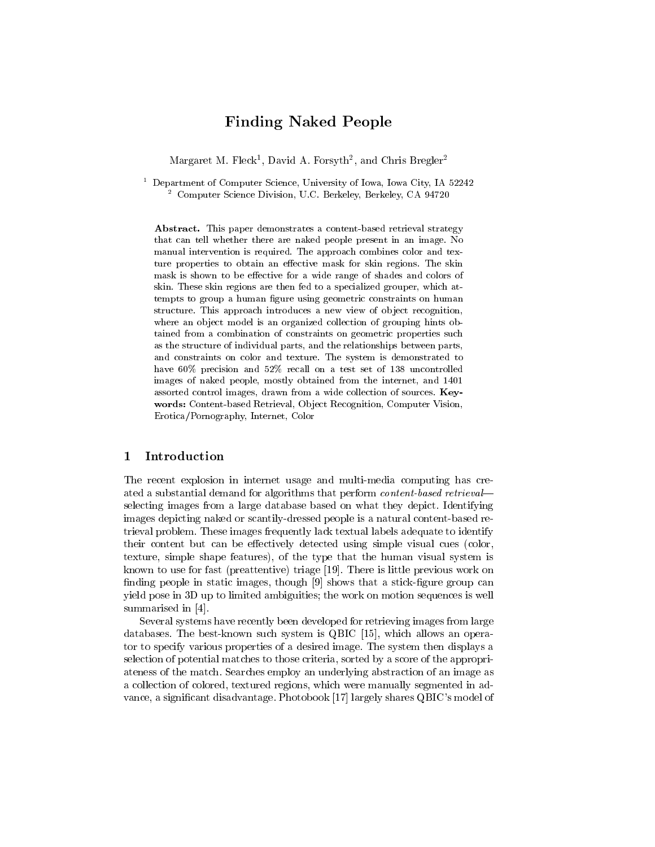# Finding Naked People

Margaret M- Fleck David A- Forsyth- and Chris Bregler-

Department of Computer Science, University of Iowa, Iowa City, IA 52242 Computer Science Division, U.C. Berkeley, Berkeley, CA 94720

Abstract- This paper demonstrates a content based retrieval strategy that can tell whether there are naked people present in an image No manual intervention is required. The approach combines color and texture properties to obtain an effective mask for skin regions. The skin mask is shown to be effective for a wide range of shades and colors of skin These skin regions are then fed to a specialized grouper- which at tempts to group a human figure using geometric constraints on human structure. This approach introduces a new view of object recognition, where an object model is an organized collection of grouping hints obtained from a combination of constraints on geometric properties such as the structure of individual parts, which the relationships between parts. and constraints on color and texture The system is demonstrated to have  $60\%$  precision and  $52\%$  recall on a test set of 138 uncontrolled images of naked people- mostly obtained from the internet- and associated control images-drawn from a wide collection of sources  $\mathcal{A}$ words Computer Vision-Retrieval-Vision-Literature Vision-Literature Visionerotical, etc. energies in pressure and colored and colored and colored and colored and colored and colored and

#### Introduction  $\mathbf{1}$

The recent explosion in internet usage and multi-media computing has created a substantial demand for algorithms that perform content-based retrieval selecting from a large database based on what they depict they depicted on  $\mathcal{A}$ images depicting naked or scantily-dressed people is a natural content-based retrieval problems- images frequently lacked the contracts additional labels adequate to identify the interest of their content but can be effectively detected using simple visual cues (color, texture, simple shape features), of the type that the human visual system is  $\mathbf{A}$  is a fast predicted trianger of  $\mathbf{A}$  and  $\mathbf{A}$  is little previous work on  $\mathbf{B}$ finding people in static images, though  $[9]$  shows that a stick-figure group can yield pose in 3D up to limited ambiguities; the work on motion sequences is well summarised in  $[4]$ .

Several systems have recently been developed for retrieving images from large databases- the best state in the basic of the best system is  $\mathcal{A}_i$  . The basic operation is a positive of the basic operation tor to specify various properties of a desired image- meeting induced images and a design the system of selection of potential matches to those criteria sorted by a score of the appropri ateness of the match-th-contraction abstraction of an underlying and images as underlying an images as a collection of colored, textured regions, which were manually segmented in advance a signi
cant disadvantage- Photobook  largely shares QBICs model of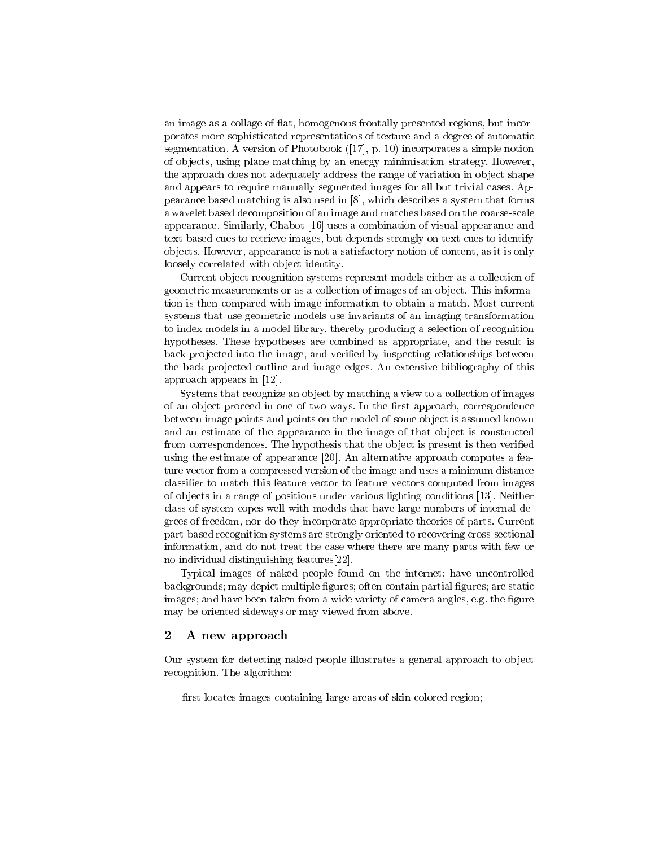an image as a collage of flat, homogenous frontally presented regions, but incorporates more sophisticated representations of texture and a degree of automatic  $\mathcal{L}$  and  $\mathcal{L}$  are positive and  $\mathcal{L}$  . The probability of Photobolic incorporates a simple notion of  $\mathcal{L}$ of objecting mining planets matching by an energy minimization strategy- matching  $\eta$ the approach does not adequately address the range of variation in ob ject shape and appears to require manually segmented images for all but the second casespearance based matching is also used in  $[8]$ , which describes a system that forms a wavelet based decomposition of an image and matches based on the coarse-scale appearance- Similarly Chabot  uses a combination of visual appearance and text-based cues to retrieve images, but depends strongly on text cues to identify ob jects- However appearance is not a satisfactory notion of content as it is only loosely correlated with object identity.

Current ob ject recognition systems represent models either as a collection of geometric measurements or as a collection of images of an ob ject- This informa tion is then compared with image information to obtain a match- Most current systems that use geometric models use invariants of an imaging transformation to index models in a model library, thereby producing a selection of recognition hypotheses- These hypotheses are combined as appropriate and the result is back-projected into the image, and verified by inspecting relationships between the backpro jected outline and image edges- An extensive bibliography of this approach a contract and approach a contract and a contract and a contract and a contract and a contract of the

Systems that recognize an object by matching a view to a collection of images rs and the ject proceed in one of two ways- and the ones of proceeding the sample and the correspondence of between image points and points on the model of some object is assumed known and an estimate of the appearance in the image of that object is constructed from correspondences- The hypothesis that the ob ject is present is then veri
ed using the estimate of appearance  $\mathbf{I} = \mathbf{I}$  , the computes appearance approach computes a feature ture vector from a compressed version of the image and uses a minimum distance classi
er to match this feature vector to feature vectors computed from images of ob jects in a range of positions under various lighting conditions - Neither class of system copes well with models that have large numbers of internal de grees of freedom nor do they incorporate appropriate theories of parts. I distinct part-based recognition systems are strongly oriented to recovering cross-sectional information, and do not treat the case where there are many parts with few or no individual distinguishing features $[22]$ .

Typical images of naked people found on the internet: have uncontrolled backgrounds; may depict multiple figures; often contain partial figures; are static images and have been taken from a wide variety of camera and the camera angles emay be oriented sideways or may viewed from above-

#### $\overline{2}$ A new approach

Our system for detecting naked people illustrates a general approach to ob ject recognition-term and algorithm and algorithm and algorithm and algorithm and algorithm and algorithm and algorithm and algorithm and algorithm and algorithm and algorithm and algorithm and algorithm and algorithm and algor

rst locates images containing large areas of skincolored region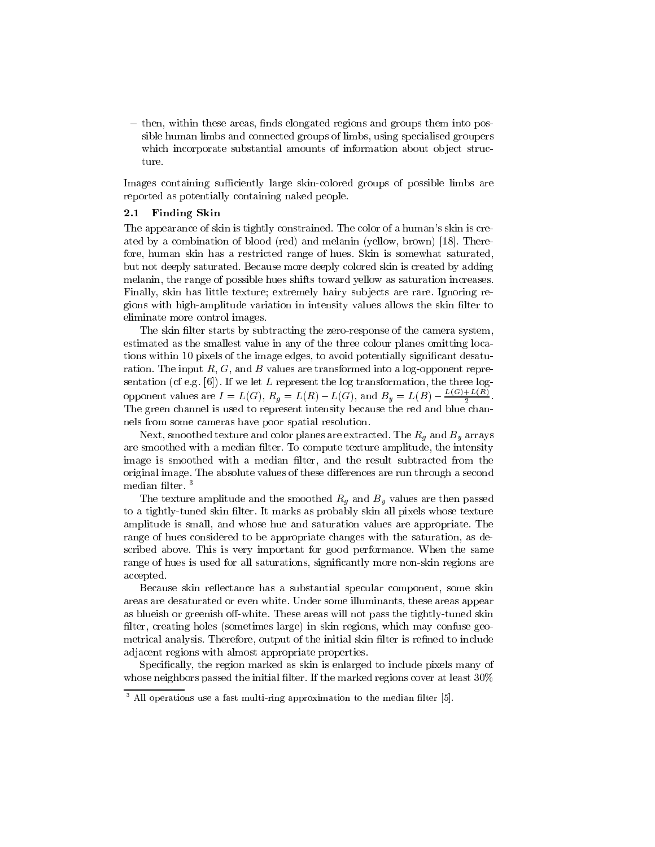the second contract the second electric secondary them into positions and groups them into positions and posit sible human limbs and connected groups of limbs, using specialised groupers which incorporate substantial amounts of information about object structure.

Images containing sufficiently large skin-colored groups of possible limbs are reported as potentially containing naked people-

### $\mathbf{F}$ . Finding Skin

The appearance of skin is tightly constrained- The color of a humans skin is cre ated by a completence of blood  $\{1, \ldots, n\}$  and melaning  $\{1, \ldots, n\}$  ,  $\{1, \ldots, n\}$  , we can also fore human skin has a restricted range of hues- Skin issomewhat saturated but not deeply saturated- Because more deeply colored skin is created by adding melanin, the range of possible hues shifts toward yellow as saturation increases. Finally skin has little texture extremely hairy sub jects are rare- Ignoring re gions with high-amplitude variation in intensity values allows the skin filter to eliminate more control images-

The skin filter starts by subtracting the zero-response of the camera system, estimated as the smallest value in any of the three colour planes omitting loca tions with the pixels of the image edges to avoid potentially significant desature ration-based input R G and B values are transformed into a logopponent representative representative represent  $\mathcal{S}$  is a cf e-double the log transformation the log transformation the log transformation the three log transformation that is a contract of the top three log transformation to the top three log transformation to the opponent values are  $I = L(G)$ ,  $R_g = L(R) - L(G)$ , and  $B_g = L(B) - \frac{2(S-1)(1-\epsilon)}{2}$ . The green channel is used to represent intensity because the red and blue chan nels from some cameras have poor spatial resolution-

next smoothed texture and color planes are extracted-color and and By and By arrays  $y$  arrays arrays are smoothed with a median 
lter- To compute texture amplitude the intensity image is smoothed with a median filter, and the result subtracted from the original image- The absolute values of these dierences are run through a second median niter.

 $T$  texture and the smoothed smoothed smoothed Rg  $\alpha$  and  $B$  values are the smoothed passed by values are the smoothed Rg and By values are the smoothed Rg and By values are the smoothed Rg and By values are the smoothe to a tightlytuned skin 
lter- It marks as probably skin all pixels whose texture amplitude is small and whose the saturation values are all the saturation values are appropriated to make the range of hues considered to be appropriate changes with the saturation, as describe above-the same in the government for good performance- (the same same complete  $\sim$ range of hues is used for all saturations, significantly more non-skin regions are accepted.

Because skin reflectance has a substantial specular component, some skin areas are desaturated or even white- Under some illuminants these areas appear as blueish or greenish owhite- These areas will not pass the tightlytuned skin filter, creating holes (sometimes large) in skin regions, which may confuse geometrical analysis- Therefore output of the initial skin 
lter is re
ned to include adjacent regions with almost appropriate properties-

Specifically, the region marked as skin is enlarged to include pixels many of whose neighbors passed the initial 
lter- If the marked regions cover at least

All operations use a fast multi-ring approximation to the median filter  $\lceil 0 \rceil$ .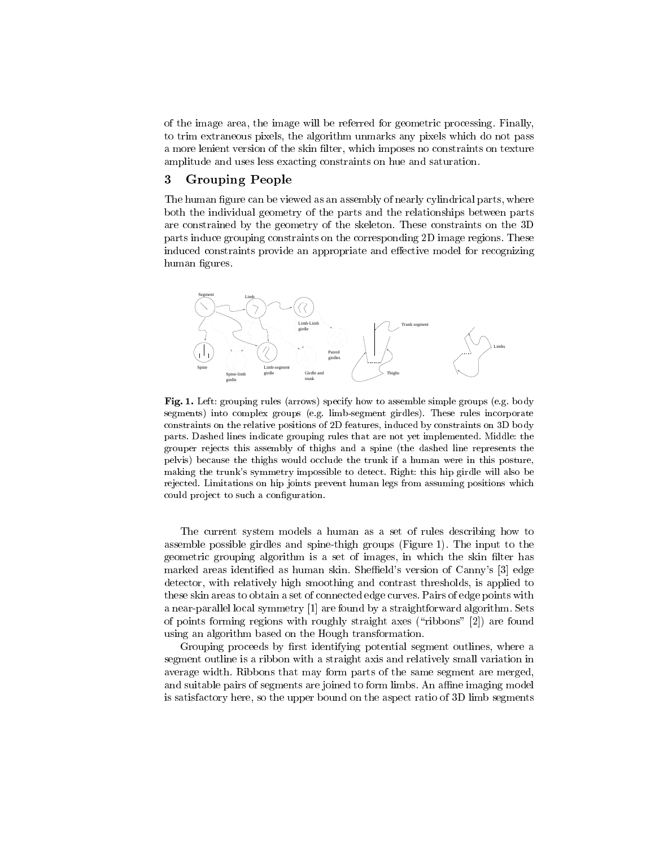of the image area the image will be referred for geometric processing- Finally to trim extraneous pixels the algorithm unmarks any pixels which do not pass a more lenient version of the skin filter, which imposes no constraints on texture amplitude and uses less exacting constraints on hue and saturation-

#### Grouping People 3

The human figure can be viewed as an assembly of nearly cylindrical parts, where both the individual geometry of the parts and the relationships between parts are constraints of the geometry of the skeleton- fraction-state constraints on the DF parts in the corresponding constraints on the corresponding  $\sim$  images regions-  $\sim$   $\sim$ induced constraints provide an appropriate and effective model for recognizing human figures.



Fig- - Left grouping rules arrows specify how to assemble simple groups eg body segments into complex groups eg limb segment girdles These rules incorporate constraints on the relative positions of D features- induced by constraints on D body parts. Dashed lines indicate grouping rules that are not yet implemented. Middle: the grouper rejects this assembly of thighs and a spine the dashed line represents the pelvis) because the thighs would occlude the trunk if a human were in this posture, making the trunk's symmetry impossible to detect. Right: this hip girdle will also be rejected. Limitations on hip joints prevent human legs from assuming positions which could project to such a configuration.

The current system models a human as a set of rules describing how to assemble possible girdles and spinethight groups from the input to the input to the input to the input to the geometric grouping algorithm is a set of images, in which the skin filter has marked areas in the state of Cannon states with the contract of Canny and Cannys and Cannys and Cannys and Can detector, with relatively high smoothing and contrast thresholds, is applied to these skin areas to obtain a set of connected edge curves- Pairs of edge points with a nearparallel local symmetry  $\mathcal{A}$  symmetry  $\mathcal{A}$  such a straightforward algorithmof points forming regions with roughly straight axes ("ribbons"  $[2]$ ) are found using an algorithm based on the Hough transformation-

Grouping proceeds by first identifying potential segment outlines, where a segment outline is a ribbon with a straight axis and relatively small variation in average width- and the matrix that may form parts of the same segment are merged  $\alpha$ and suitable pairs of segments are joined to form model the model model  $\pi$ is satisfactory here, so the upper bound on the aspect ratio of 3D limb segments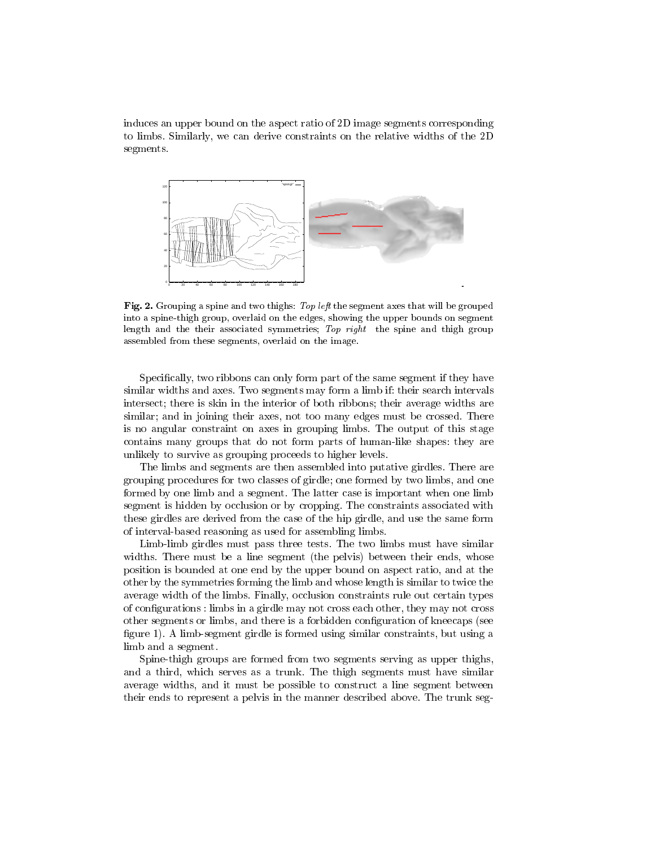induces an upper bound on the aspect ratio of 2D image segments corresponding to limbs- Similarly we can derive constraints on the relative widths of the D segments.



 $-$  -grouping a spine and two thighs Top left the segment assumed that will be grouped as this a spine completely continue to the edges showing the upper bounds on segments length and the their associated symmetries; Top right the spine and thigh group assembled from the image segments-induced from the image of the image of the image of the image of the image o

Specifically, two ribbons can only form part of the same segment if they have similar widths and axes-  $\sim$  and a limit if the intervalse matrix  $\sim$  . The intervalse intervalse intervalse  $\sim$ intersect; there is skin in the interior of both ribbons; their average widths are similar and in joining their axes not too many edges must be crossed- There is no angular constraint on axes in grouping limits-during limits-during limits-during limits-during limits-during  $\mathcal{L}$ contains many groups that do not form parts of human-like shapes: they are unlikely to survive as grouping proceeds to higher levels-

The limbs and segments are then assembled into putative girdles- There are grouping procedures for two classes of girdle; one formed by two limbs, and one formed by one limb and a segment- The latter case is important when one limb segment is modern by cropping or by cropping, which constraint associated with a constraints associated with  $\sim$ these girdles are derived from the case of the hip girdle and use the same form of interval-based reasoning as used for assembling limbs.

Limblimb girdles must pass three tests- The two limbs must have similar with the must be a line segment the person  $\mu$  is the second theory whose  $\mu$ position is bounded at one end by the upper bound on aspect ratio, and at the other by the symmetries forming the limb and whose length is similar to twice the average width of the limit of the limit of the limit of the limit of the limit of the limit of the limit of the limit of the limit of the limit of the limit of the limit of the limit of the limit of the limit of the limit of configurations : limbs in a girdle may not cross each other, they may not cross other segments or limbs, and there is a forbidden configuration of kneecaps (see gure - A limbsegment girdle is formed using similar constraints but using a limb and a segment.

Spine-thigh groups are formed from two segments serving as upper thighs, and a third which serves as a trunk-base similar must be the trunk-base of the trunkaverage widths, and it must be possible to construct a line segment between their ends to represent a pelvis in the manner described above- The trunk seg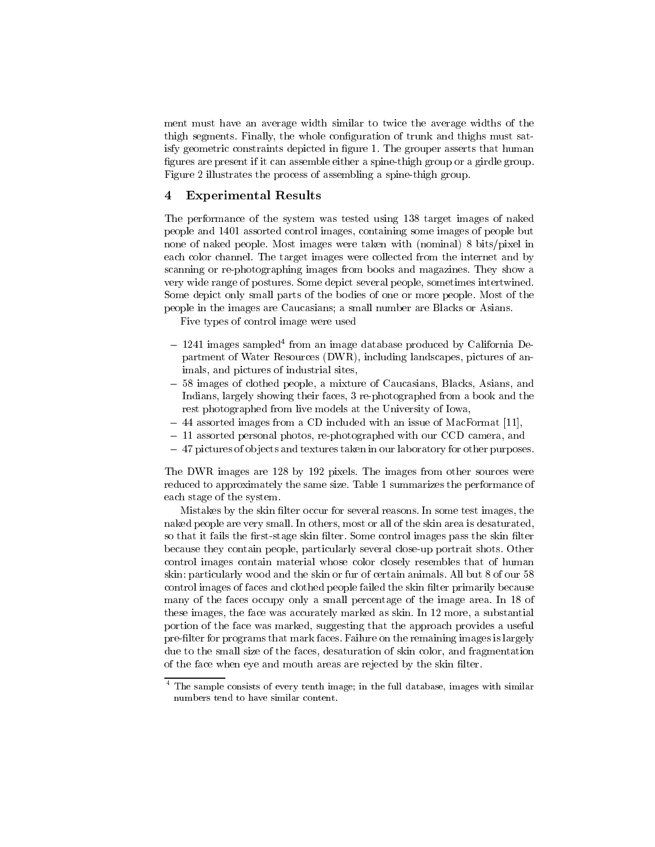ment must have an average width similar to twice the average widths of the thigh segments- Finally the whole con
guration of trunk and thighs must sat isfy geometric constraints depicted in 
gure - The grouper asserts that human figures are present if it can assemble either a spine-thigh group or a girdle group. Figure 2 illustrates the process of assembling a spine-thigh group.

#### Experimental Results  $\overline{4}$

The performance of the system was tested using the system was tested using using  $\mathbf{r}_1$ people and assorted control images containing some images of people but none of naked people- Most images were taken with nominal bitspixel in each color channel- The target images were collected from the internet and by scanning or rephotographing images from books and magazines- They show a very wide range of postures- some depict several people, several people some Some depict only small parts of the bodies of one or more people- Most of the people in the images are Caucasians a small number are Blacks or Asians-

Five types of control image were used

- $-$  1241 images sampled  $\,$  from an image database produced by California De-  $\,$ partment of Water Resources (DWR), including landscapes, pictures of animals, and pictures of industrial sites,
- images of clothed people a mixture of Caucasians Blacks Asians and Indians, largely showing their faces, 3 re-photographed from a book and the rest photographed from live models at the University of Iowa
- as sorted images from a CD included with an issue of MacHormat and MacFormat and MacFormat and MacFormat and M
- assorted personal photos rephotographed with our CCD camera and
- pictures of ob jects and textures taken in our laboratory for other purposes-

The DWR images are by pixels- The images from other sources were reduced to approximately the same size- Table summarizes the performance of each stage of the system.

Mistakes by the skin 
lter occur for several reasons- In some test images the naked people most or y smaller most or all of the skin area is described in the skin area in the skin area is rststage skin i fan de fan de skin de skin it fan de skin it fan de skin fan de skin skin de skin de skin de s because they contain people particularly several closeup portrait shots- Other control images contain material whose color closely resembles that of human skin particularly wood and the skin or fur of certain animals- All but of our control images of faces and clothed people failed the skin filter primarily because many of the faces occupy only a small percentage of the image area- In of these images the face was accurately marked as skin- In more a substantial portion of the face was marked, suggesting that the approach provides a useful presses that programs that manual faces is largely in the remaining images in the  $\Delta$  -  $\mu$ due to the small size of the faces, desaturation of skin color, and fragmentation of the face when eye and mouth areas are rejected by the skin filter.

The sample consists of every tenth image; in the full database, images with similar numbers tend to have similar content.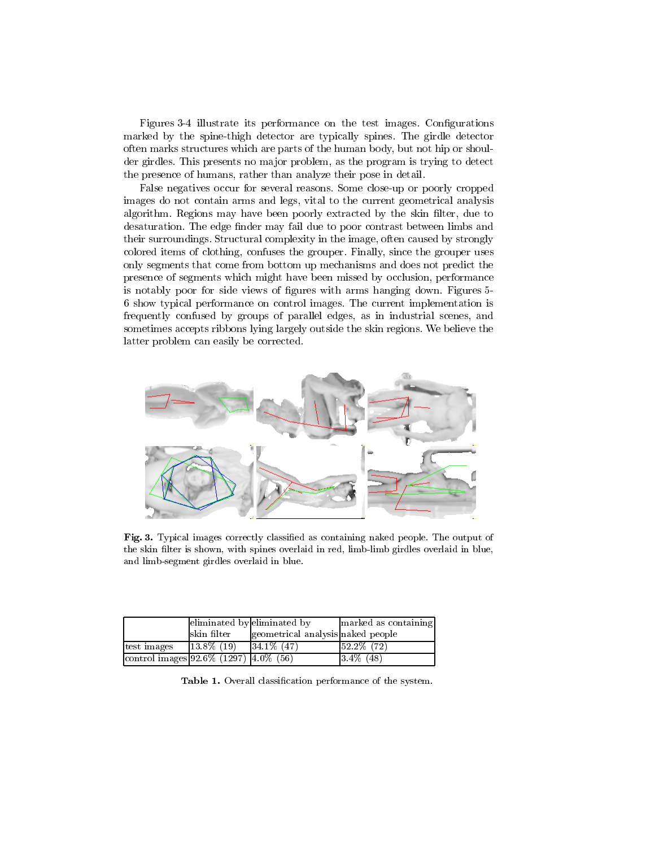Figures illustrate its performance on the test images- Con
gurations marked by the spinethigh detector are typically spines- The girdle detector often marks structures which are parts of the human body but not hip or shoul as girdless no ma problem as the problem problem is the program is trying to detect. the presence of humans, rather than analyze their pose in detail.

False negatives occur for several reasons- Some closeup or poorly cropped images do not contain arms and legs, vital to the current geometrical analysis algorithm- Regions may have been poorly extracted by the skin lter due to desaturation- The edge 
nder may fail due to poor contrast between limbs and . Structure surroundings- in the image of the image of the image of the image of the image of the image  $\mu$ colored items of clothing confuses the grouper-confuses the grouper uses the since  $\alpha$ only segments that come from bottom up mechanisms and does not predict the presence of segments which might have been missed by occlusion, performance is notably poor for side views of gures with arms hanging down- Figures s shown typical performance on control images-into the current implementation in frequently confused by groups of parallel edges as in industrial scenes and sometimes accepts ribbons lying largely outside the skin regions- We believe the latter problem can easily be corrected.



Fig- - Typical images correctly classied as containing naked people The output of the shown-distribution is shown-distribution and in red-sequence over  $\Delta$  - and in spines over  $\Delta$ segment overlaid in blue overlaid in blue overlaid in blue overlaid in blue overlaid in blue overlaid in blue

|                                                        |               | eliminated by eliminated by       | marked as containing |
|--------------------------------------------------------|---------------|-----------------------------------|----------------------|
|                                                        | lskin filter  | geometrical analysis naked people |                      |
| test images                                            | $13.8\%$ (19) | $134.1\%$ (47)                    | $152.2\%$ (72)       |
| control images $92.6\%$ (1297) $\overline{4.0\%}$ (56) |               |                                   | $3.4\%$ (48)         |

Table - Overall classication performance of the system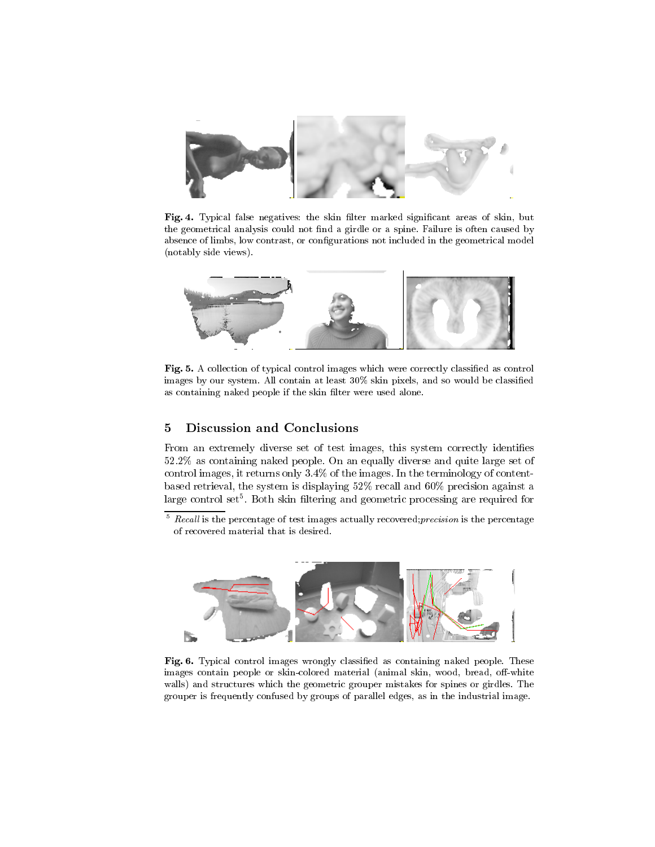

Fig- - Typical false negatives the skin lter marked signicant areas of skin- but the geometrical analysis could not find a girdle or a spine. Failure is often caused by absence of limits-included interactions not include in the geometrical model model model model model model mod (notably side views).



Fig. . A collection of typical control images which were control in the correct of the correct of the correct  $\mathcal{M}$ images by our system All contain at least skin pixels- and so would be classied as containing naked people if the skin filter were used alone.

## Discussion and Conclusions

From an extremely diverse set of test images, this system correctly identifies - as containing naked people- On an equally diverse and quite large set of  $\alpha$  is content in the images-dimensionless only of the images-dimensionless  $\alpha$  is the terminology of  $\alpha$ based retrieval, the system is displaying  $52\%$  recall and  $60\%$  precision against a large control set . Both skin nitering and geometric processing are required for

 $\sim$  *Recall* is the percentage of test images actually recovered;  $\emph{precusion}$  is the percentage of recovered material that is desired



Fig- - Typical control images wrongly classied as containing naked people These images contain people or skin colored material animal skin- wood- bread- o white walls) and structures which the geometric grouper mistakes for spines or girdles. The  $\alpha$  - in the industrial is frequently confused by  $\alpha$  in the industrial images, as industrial images,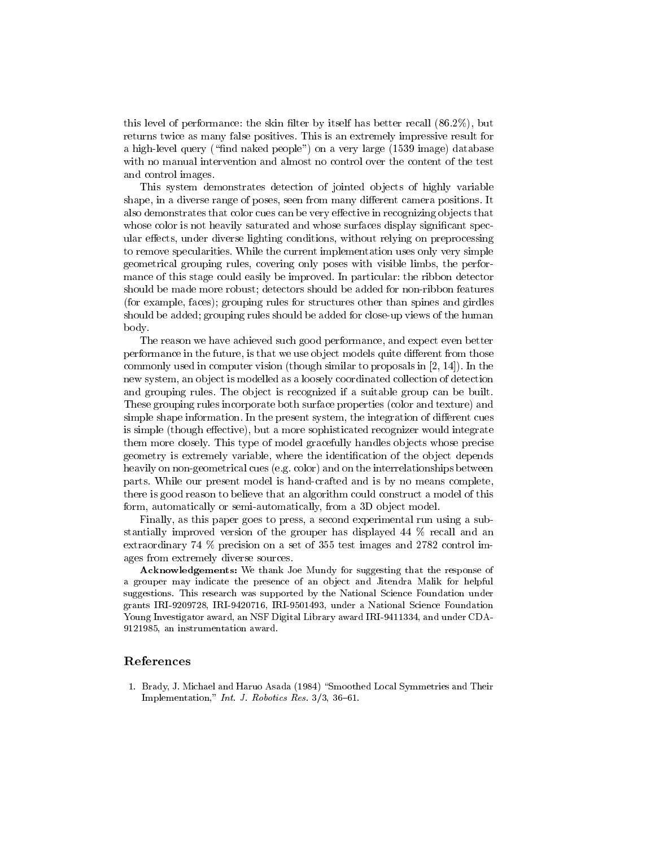this level of performance the skin 
lter by itself has better recall - but returns twice as many false positives- This is an extremely impressive result for a highlevel query 
nd naked people on a very large image database with no manual intervention and almost no control over the content of the test and control images.

This system demonstrates detection of jointed objects of highly variable shape in a diverse range of poses seen from many dierent camera positions- It also demonstrates that color cues can be very effective in recognizing objects that whose color is not heavily saturated and whose surfaces display significant specular effects, under diverse lighting conditions, without relying on preprocessing to remove specularities- While the current implementation uses only very simple geometrical grouping rules, covering only poses with visible limbs, the performance of this stage could easily be improved- In particular the ribbon detector should be made more robust; detectors should be added for non-ribbon features (for example, faces); grouping rules for structures other than spines and girdles should be added; grouping rules should be added for close-up views of the human body. body and the contract of the contract of the contract of the contract of the contract of

The reason we have achieved such good performance and expect even better performance in the future, is that we use object models quite different from those common the second computer vision to the supplementation of proposals in  $\vert$  in the  $\vert$  in the second computer of  $\vert$ new system, an object is modelled as a loosely coordinated collection of detection and grouping rules-be cognized in recognized if a suitable group can be built-These grouping rules incorporate both surface properties (color and texture) and simple shape information- In the present system the integration of dierent cues is simple (though effective), but a more sophisticated recognizer would integrate them more closely- This type of model gracefully handles ob jects whose precise geometry is extremely variable where the identi
cation of the ob ject depends heavily on nongeometrical cues e-g- color and on the interrelationships between parts- while our present model is model in the islamic complete and is no means completely and there is good reason to believe that an algorithm could construct a model of this form, automatically or semi-automatically, from a 3D object model.

Finally, as this paper goes to press, a second experimental run using a substantially improved version of the grouper has displayed 44 % recall and an extraordinary 74  $\%$  precision on a set of 355 test images and 2782 control images from extremely diverse sources.

Acknowledgements: We thank Joe Mundy for suggesting that the response of a grouper may indicate the presence of an ob ject and Jitendra Malik for helpful suggestions This research was supported by the National Science Foundation under grants IRI (IRI) IRI (IRI) IRI (IRI) IRI (IRI) IRI (IRI) IRI (IRI) IRI (IRI) IRI (IRI) IRI (IRI) IRI (IRI) IRI Young Investigator award- an NSF Digital Library award IRI - and under CDA - an instrumentation award

### References

 Brady- J Michael and Haruo Asada Smoothed Local Symmetries and Their Implementation-between the contraction-between the contraction-between the contraction-between the contraction-